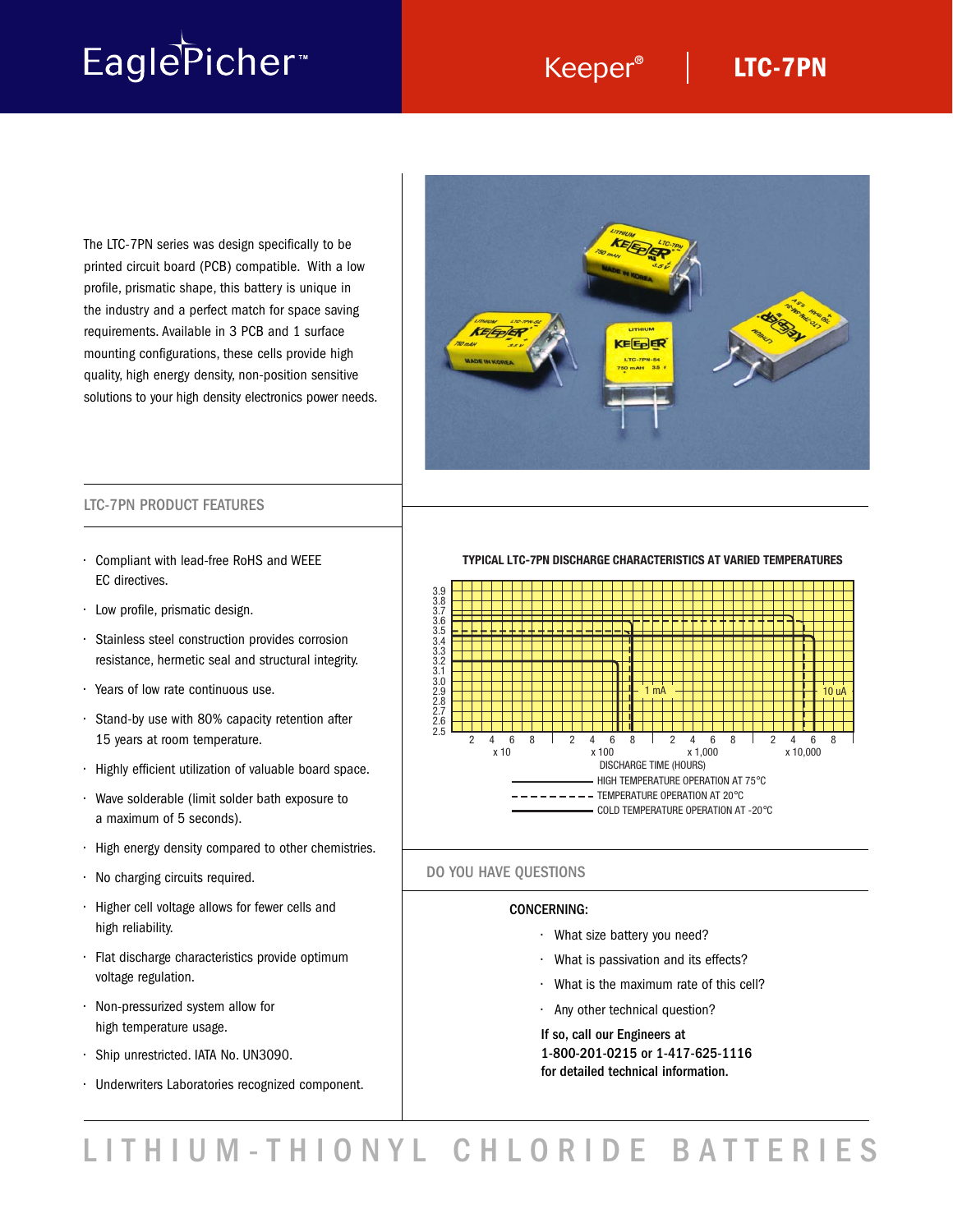# EaglePicher<sup>®</sup>

### Keeper<sup>®</sup> | LTC-7PN

The LTC-7PN series was design specifically to be printed circuit board (PCB) compatible. With a low profile, prismatic shape, this battery is unique in the industry and a perfect match for space saving requirements. Available in 3 PCB and 1 surface mounting configurations, these cells provide high quality, high energy density, non-position sensitive solutions to your high density electronics power needs.



### LTC-7PN PRODUCT FEATURES

- Compliant with lead-free RoHS and WEEE EC directives.
- Low profile, prismatic design.
- Stainless steel construction provides corrosion resistance, hermetic seal and structural integrity.
- Years of low rate continuous use.
- Stand-by use with 80% capacity retention after 15 years at room temperature.
- Highly efficient utilization of valuable board space.
- Wave solderable (limit solder bath exposure to a maximum of 5 seconds).
- High energy density compared to other chemistries.
- No charging circuits required.
- Higher cell voltage allows for fewer cells and high reliability.
- Flat discharge characteristics provide optimum voltage regulation.
- Non-pressurized system allow for high temperature usage.
- Ship unrestricted. IATA No. UN3090.
- Underwriters Laboratories recognized component.

**TYPICAL LTC-7PN DISCHARGE CHARACTERISTICS AT VARIED TEMPERATURES**



### DO YOU HAVE QUESTIONS

### CONCERNING:

- What size battery you need?
- What is passivation and its effects?
- What is the maximum rate of this cell?
- Any other technical question?

If so, call our Engineers at 1-800-201-0215 or 1-417-625-1116 for detailed technical information.

LITHIUM-THIONYL CHLORIDE BATTERIES